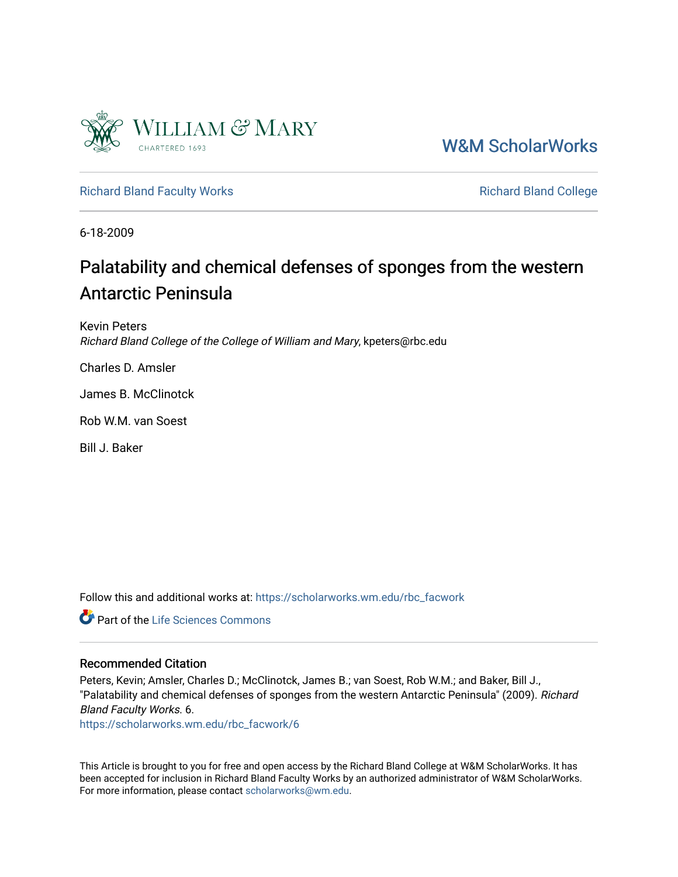

[W&M ScholarWorks](https://scholarworks.wm.edu/) 

# [Richard Bland Faculty Works](https://scholarworks.wm.edu/rbc_facwork) **Richard Bland College** Richard Bland College

6-18-2009

# Palatability and chemical defenses of sponges from the western Antarctic Peninsula

Kevin Peters Richard Bland College of the College of William and Mary, kpeters@rbc.edu

Charles D. Amsler

James B. McClinotck

Rob W.M. van Soest

Bill J. Baker

Follow this and additional works at: [https://scholarworks.wm.edu/rbc\\_facwork](https://scholarworks.wm.edu/rbc_facwork?utm_source=scholarworks.wm.edu%2Frbc_facwork%2F6&utm_medium=PDF&utm_campaign=PDFCoverPages) 

**C** Part of the Life Sciences Commons

# Recommended Citation

Peters, Kevin; Amsler, Charles D.; McClinotck, James B.; van Soest, Rob W.M.; and Baker, Bill J., "Palatability and chemical defenses of sponges from the western Antarctic Peninsula" (2009). Richard Bland Faculty Works. 6.

[https://scholarworks.wm.edu/rbc\\_facwork/6](https://scholarworks.wm.edu/rbc_facwork/6?utm_source=scholarworks.wm.edu%2Frbc_facwork%2F6&utm_medium=PDF&utm_campaign=PDFCoverPages) 

This Article is brought to you for free and open access by the Richard Bland College at W&M ScholarWorks. It has been accepted for inclusion in Richard Bland Faculty Works by an authorized administrator of W&M ScholarWorks. For more information, please contact [scholarworks@wm.edu](mailto:scholarworks@wm.edu).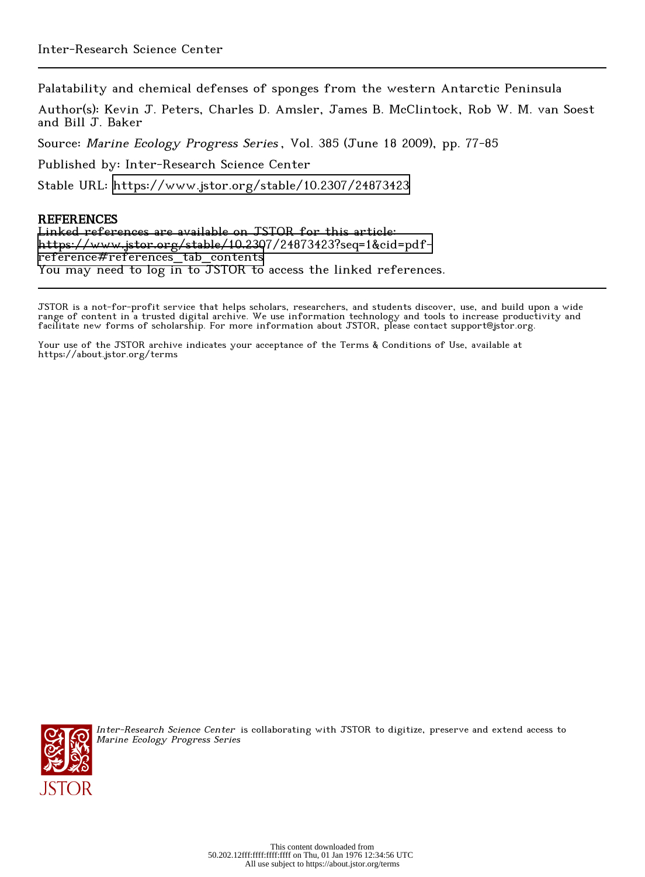Palatability and chemical defenses of sponges from the western Antarctic Peninsula

Author(s): Kevin J. Peters, Charles D. Amsler, James B. McClintock, Rob W. M. van Soest and Bill J. Baker

Source: Marine Ecology Progress Series , Vol. 385 (June 18 2009), pp. 77-85

Published by: Inter-Research Science Center

Stable URL:<https://www.jstor.org/stable/10.2307/24873423>

# **REFERENCES**

Linked references are available on JSTOR for this article: [https://www.jstor.org/stable/10.2307/24873423?seq=1&cid=pdf](https://www.jstor.org/stable/10.2307/24873423?seq=1&cid=pdf-reference#references_tab_contents)[reference#references\\_tab\\_contents](https://www.jstor.org/stable/10.2307/24873423?seq=1&cid=pdf-reference#references_tab_contents) You may need to log in to JSTOR to access the linked references.

JSTOR is a not-for-profit service that helps scholars, researchers, and students discover, use, and build upon a wide range of content in a trusted digital archive. We use information technology and tools to increase productivity and facilitate new forms of scholarship. For more information about JSTOR, please contact support@jstor.org.

Your use of the JSTOR archive indicates your acceptance of the Terms & Conditions of Use, available at https://about.jstor.org/terms



Inter-Research Science Center is collaborating with JSTOR to digitize, preserve and extend access to Marine Ecology Progress Series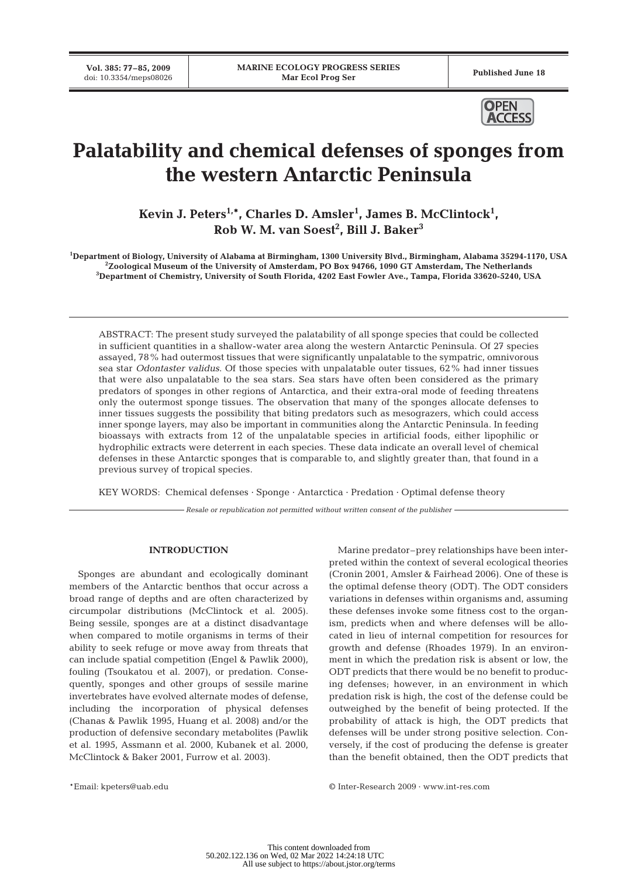**Vol. 385: 77–85, 2009**



# **Palatability and chemical defenses of sponges from the western Antarctic Peninsula**

**Kevin J. Peters1,\*, Charles D. Amsler1 , James B. McClintock1 , Rob W. M. van Soest2 , Bill J. Baker3**

**1 Department of Biology, University of Alabama at Birmingham, 1300 University Blvd., Birmingham, Alabama 35294-1170, USA 2 Zoological Museum of the University of Amsterdam, PO Box 94766, 1090 GT Amsterdam, The Netherlands 3 Department of Chemistry, University of South Florida, 4202 East Fowler Ave., Tampa, Florida 33620-5240, USA**

ABSTRACT: The present study surveyed the palatability of all sponge species that could be collected in sufficient quantities in a shallow-water area along the western Antarctic Peninsula. Of 27 species assayed, 78% had outermost tissues that were significantly unpalatable to the sympatric, omnivorous sea star *Odontaster validus*. Of those species with unpalatable outer tissues, 62% had inner tissues that were also unpalatable to the sea stars. Sea stars have often been considered as the primary predators of sponges in other regions of Antarctica, and their extra-oral mode of feeding threatens only the outermost sponge tissues. The observation that many of the sponges allocate defenses to inner tissues suggests the possibility that biting predators such as mesograzers, which could access inner sponge layers, may also be important in communities along the Antarctic Peninsula. In feeding bioassays with extracts from 12 of the unpalatable species in artificial foods, either lipophilic or hydrophilic extracts were deterrent in each species. These data indicate an overall level of chemical defenses in these Antarctic sponges that is comparable to, and slightly greater than, that found in a previous survey of tropical species.

KEY WORDS: Chemical defenses · Sponge · Antarctica · Predation · Optimal defense theory

*Resale or republication not permitted without written consent of the publisher*

## **INTRODUCTION**

Sponges are abundant and ecologically dominant members of the Antarctic benthos that occur across a broad range of depths and are often characterized by circumpolar distributions (McClintock et al. 2005). Being sessile, sponges are at a distinct disadvantage when compared to motile organisms in terms of their ability to seek refuge or move away from threats that can include spatial competition (Engel & Pawlik 2000), fouling (Tsoukatou et al. 2007), or predation. Consequently, sponges and other groups of sessile marine invertebrates have evolved alternate modes of defense, including the incorporation of physical defenses (Chanas & Pawlik 1995, Huang et al. 2008) and/or the production of defensive secondary metabolites (Pawlik et al. 1995, Assmann et al. 2000, Kubanek et al. 2000, McClintock & Baker 2001, Furrow et al. 2003).

Marine predator–prey relationships have been interpreted within the context of several ecological theories (Cronin 2001, Amsler & Fairhead 2006). One of these is the optimal defense theory (ODT). The ODT considers variations in defenses within organisms and, assuming these defenses invoke some fitness cost to the organism, predicts when and where defenses will be allocated in lieu of internal competition for resources for growth and defense (Rhoades 1979). In an environment in which the predation risk is absent or low, the ODT predicts that there would be no benefit to producing defenses; however, in an environment in which predation risk is high, the cost of the defense could be outweighed by the benefit of being protected. If the probability of attack is high, the ODT predicts that defenses will be under strong positive selection. Conversely, if the cost of producing the defense is greater than the benefit obtained, then the ODT predicts that

\*Email: kpeters@uab.edu © Inter-Research 2009 · www.int-res.com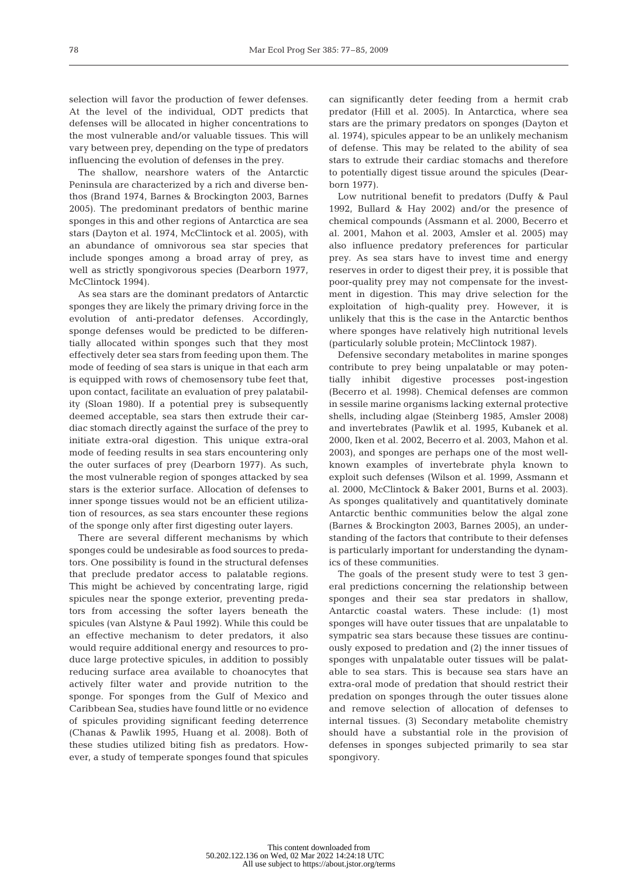selection will favor the production of fewer defenses. At the level of the individual, ODT predicts that defenses will be allocated in higher concentrations to the most vulnerable and/or valuable tissues. This will vary between prey, depending on the type of predators influencing the evolution of defenses in the prey.

The shallow, nearshore waters of the Antarctic Peninsula are characterized by a rich and diverse benthos (Brand 1974, Barnes & Brockington 2003, Barnes 2005). The predominant predators of benthic marine sponges in this and other regions of Antarctica are sea stars (Dayton et al. 1974, McClintock et al. 2005), with an abundance of omnivorous sea star species that include sponges among a broad array of prey, as well as strictly spongivorous species (Dearborn 1977, McClintock 1994).

As sea stars are the dominant predators of Antarctic sponges they are likely the primary driving force in the evolution of anti-predator defenses. Accordingly, sponge defenses would be predicted to be differentially allocated within sponges such that they most effectively deter sea stars from feeding upon them. The mode of feeding of sea stars is unique in that each arm is equipped with rows of chemosensory tube feet that, upon contact, facilitate an evaluation of prey palatability (Sloan 1980). If a potential prey is subsequently deemed acceptable, sea stars then extrude their cardiac stomach directly against the surface of the prey to initiate extra-oral digestion. This unique extra-oral mode of feeding results in sea stars encountering only the outer surfaces of prey (Dearborn 1977). As such, the most vulnerable region of sponges attacked by sea stars is the exterior surface. Allocation of defenses to inner sponge tissues would not be an efficient utilization of resources, as sea stars encounter these regions of the sponge only after first digesting outer layers.

There are several different mechanisms by which sponges could be undesirable as food sources to predators. One possibility is found in the structural defenses that preclude predator access to palatable regions. This might be achieved by concentrating large, rigid spicules near the sponge exterior, preventing predators from accessing the softer layers beneath the spicules (van Alstyne & Paul 1992). While this could be an effective mechanism to deter predators, it also would require additional energy and resources to produce large protective spicules, in addition to possibly reducing surface area available to choanocytes that actively filter water and provide nutrition to the sponge. For sponges from the Gulf of Mexico and Caribbean Sea, studies have found little or no evidence of spicules providing significant feeding deterrence (Chanas & Pawlik 1995, Huang et al. 2008). Both of these studies utilized biting fish as predators. However, a study of temperate sponges found that spicules can significantly deter feeding from a hermit crab predator (Hill et al. 2005). In Antarctica, where sea stars are the primary predators on sponges (Dayton et al. 1974), spicules appear to be an unlikely mechanism of defense. This may be related to the ability of sea stars to extrude their cardiac stomachs and therefore to potentially digest tissue around the spicules (Dearborn 1977).

Low nutritional benefit to predators (Duffy & Paul 1992, Bullard & Hay 2002) and/or the presence of chemical compounds (Assmann et al. 2000, Becerro et al. 2001, Mahon et al. 2003, Amsler et al. 2005) may also influence predatory preferences for particular prey. As sea stars have to invest time and energy reserves in order to digest their prey, it is possible that poor-quality prey may not compensate for the investment in digestion. This may drive selection for the exploitation of high-quality prey. However, it is unlikely that this is the case in the Antarctic benthos where sponges have relatively high nutritional levels (particularly soluble protein; McClintock 1987).

Defensive secondary metabolites in marine sponges contribute to prey being unpalatable or may potentially inhibit digestive processes post-ingestion (Becerro et al. 1998). Chemical defenses are common in sessile marine organisms lacking external protective shells, including algae (Steinberg 1985, Amsler 2008) and invertebrates (Pawlik et al. 1995, Kubanek et al. 2000, Iken et al. 2002, Becerro et al. 2003, Mahon et al. 2003), and sponges are perhaps one of the most wellknown examples of invertebrate phyla known to exploit such defenses (Wilson et al. 1999, Assmann et al. 2000, McClintock & Baker 2001, Burns et al. 2003). As sponges qualitatively and quantitatively dominate Antarctic benthic communities below the algal zone (Barnes & Brockington 2003, Barnes 2005), an understanding of the factors that contribute to their defenses is particularly important for understanding the dynamics of these communities.

The goals of the present study were to test 3 general predictions concerning the relationship between sponges and their sea star predators in shallow, Antarctic coastal waters. These include: (1) most sponges will have outer tissues that are unpalatable to sympatric sea stars because these tissues are continuously exposed to predation and (2) the inner tissues of sponges with unpalatable outer tissues will be palatable to sea stars. This is because sea stars have an extra-oral mode of predation that should restrict their predation on sponges through the outer tissues alone and remove selection of allocation of defenses to internal tissues. (3) Secondary metabolite chemistry should have a substantial role in the provision of defenses in sponges subjected primarily to sea star spongivory.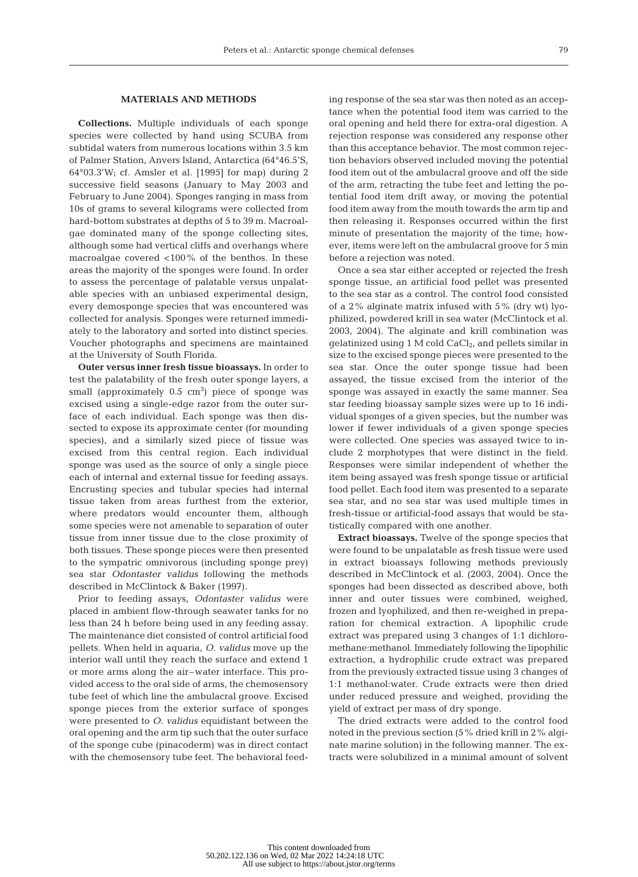## **MATERIALS AND METHODS**

**Collections.** Multiple individuals of each sponge species were collected by hand using SCUBA from subtidal waters from numerous locations within 3.5 km of Palmer Station, Anvers Island, Antarctica (64°46.5'S, 64°03.3'W; cf. Amsler et al. [1995] for map) during 2 successive field seasons (January to May 2003 and February to June 2004). Sponges ranging in mass from 10s of grams to several kilograms were collected from hard-bottom substrates at depths of 5 to 39 m. Macroalgae dominated many of the sponge collecting sites, although some had vertical cliffs and overhangs where macroalgae covered <100% of the benthos. In these areas the majority of the sponges were found. In order to assess the percentage of palatable versus unpalatable species with an unbiased experimental design, every demosponge species that was encountered was collected for analysis. Sponges were returned immediately to the laboratory and sorted into distinct species. Voucher photographs and specimens are maintained at the University of South Florida.

**Outer versus inner fresh tissue bioassays.** In order to test the palatability of the fresh outer sponge layers, a small (approximately  $0.5\,$  cm $^3)$  piece of sponge was excised using a single-edge razor from the outer surface of each individual. Each sponge was then dissected to expose its approximate center (for mounding species), and a similarly sized piece of tissue was excised from this central region. Each individual sponge was used as the source of only a single piece each of internal and external tissue for feeding assays. Encrusting species and tubular species had internal tissue taken from areas furthest from the exterior, where predators would encounter them, although some species were not amenable to separation of outer tissue from inner tissue due to the close proximity of both tissues. These sponge pieces were then presented to the sympatric omnivorous (including sponge prey) sea star *Odontaster validus* following the methods described in McClintock & Baker (1997).

Prior to feeding assays, *Odontaster validus* were placed in ambient flow-through seawater tanks for no less than 24 h before being used in any feeding assay. The maintenance diet consisted of control artificial food pellets. When held in aquaria, *O. validus* move up the interior wall until they reach the surface and extend 1 or more arms along the air–water interface. This provided access to the oral side of arms, the chemosensory tube feet of which line the ambulacral groove. Excised sponge pieces from the exterior surface of sponges were presented to *O. validus* equidistant between the oral opening and the arm tip such that the outer surface of the sponge cube (pinacoderm) was in direct contact with the chemosensory tube feet. The behavioral feeding response of the sea star was then noted as an acceptance when the potential food item was carried to the oral opening and held there for extra-oral digestion. A rejection response was considered any response other than this acceptance behavior. The most common rejection behaviors observed included moving the potential food item out of the ambulacral groove and off the side of the arm, retracting the tube feet and letting the potential food item drift away, or moving the potential food item away from the mouth towards the arm tip and then releasing it. Responses occurred within the first minute of presentation the majority of the time; however, items were left on the ambulacral groove for 5 min before a rejection was noted.

Once a sea star either accepted or rejected the fresh sponge tissue, an artificial food pellet was presented to the sea star as a control. The control food consisted of a 2% alginate matrix infused with 5% (dry wt) lyophilized, powdered krill in sea water (McClintock et al. 2003, 2004). The alginate and krill combination was gelatinized using  $1 M$  cold  $CaCl<sub>2</sub>$ , and pellets similar in size to the excised sponge pieces were presented to the sea star. Once the outer sponge tissue had been assayed, the tissue excised from the interior of the sponge was assayed in exactly the same manner. Sea star feeding bioassay sample sizes were up to 16 individual sponges of a given species, but the number was lower if fewer individuals of a given sponge species were collected. One species was assayed twice to include 2 morphotypes that were distinct in the field. Responses were similar independent of whether the item being assayed was fresh sponge tissue or artificial food pellet. Each food item was presented to a separate sea star, and no sea star was used multiple times in fresh-tissue or artificial-food assays that would be statistically compared with one another.

**Extract bioassays.** Twelve of the sponge species that were found to be unpalatable as fresh tissue were used in extract bioassays following methods previously described in McClintock et al. (2003, 2004). Once the sponges had been dissected as described above, both inner and outer tissues were combined, weighed, frozen and lyophilized, and then re-weighed in preparation for chemical extraction. A lipophilic crude extract was prepared using 3 changes of 1:1 dichloromethane:methanol. Immediately following the lipophilic extraction, a hydrophilic crude extract was prepared from the previously extracted tissue using 3 changes of 1:1 methanol:water. Crude extracts were then dried under reduced pressure and weighed, providing the yield of extract per mass of dry sponge.

The dried extracts were added to the control food noted in the previous section (5% dried krill in 2% alginate marine solution) in the following manner. The extracts were solubilized in a minimal amount of solvent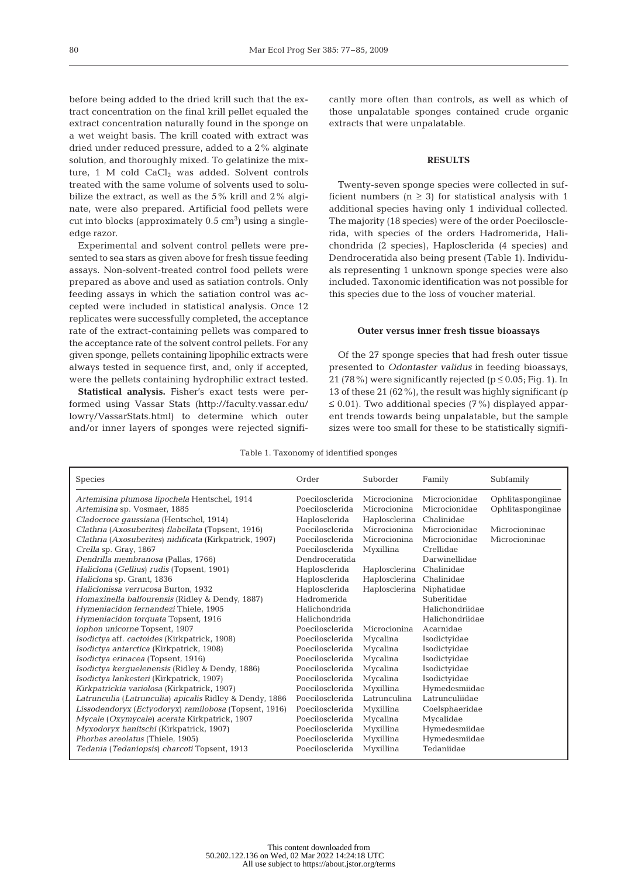before being added to the dried krill such that the extract concentration on the final krill pellet equaled the extract concentration naturally found in the sponge on a wet weight basis. The krill coated with extract was dried under reduced pressure, added to a 2% alginate solution, and thoroughly mixed. To gelatinize the mixture, 1 M cold  $CaCl<sub>2</sub>$  was added. Solvent controls treated with the same volume of solvents used to solubilize the extract, as well as the 5% krill and 2% alginate, were also prepared. Artificial food pellets were  $cut$  into blocks (approximately  $0.5 \text{ cm}^3$ ) using a singleedge razor.

Experimental and solvent control pellets were presented to sea stars as given above for fresh tissue feeding assays. Non-solvent-treated control food pellets were prepared as above and used as satiation controls. Only feeding assays in which the satiation control was accepted were included in statistical analysis. Once 12 replicates were successfully completed, the acceptance rate of the extract-containing pellets was compared to the acceptance rate of the solvent control pellets. For any given sponge, pellets containing lipophilic extracts were always tested in sequence first, and, only if accepted, were the pellets containing hydrophilic extract tested.

**Statistical analysis.** Fisher's exact tests were performed using Vassar Stats (http://faculty.vassar.edu/ lowry/VassarStats.html) to determine which outer and/or inner layers of sponges were rejected significantly more often than controls, as well as which of those unpalatable sponges contained crude organic extracts that were unpalatable.

## **RESULTS**

Twenty-seven sponge species were collected in sufficient numbers ( $n \geq 3$ ) for statistical analysis with 1 additional species having only 1 individual collected. The majority (18 species) were of the order Poecilosclerida, with species of the orders Hadromerida, Halichondrida (2 species), Haplosclerida (4 species) and Dendroceratida also being present (Table 1). Individuals representing 1 unknown sponge species were also included. Taxonomic identification was not possible for this species due to the loss of voucher material.

#### **Outer versus inner fresh tissue bioassays**

Of the 27 sponge species that had fresh outer tissue presented to *Odontaster validus* in feeding bioassays, 21 (78%) were significantly rejected ( $p \le 0.05$ ; Fig. 1). In 13 of these 21 (62%), the result was highly significant (p  $\leq$  0.01). Two additional species (7%) displayed apparent trends towards being unpalatable, but the sample sizes were too small for these to be statistically signifi-

Table 1. Taxonomy of identified sponges

| <b>Species</b>                                          | Order           | Suborder      | Family          | Subfamily         |
|---------------------------------------------------------|-----------------|---------------|-----------------|-------------------|
| Artemisina plumosa lipochela Hentschel, 1914            | Poecilosclerida | Microcionina  | Microcionidae   | Ophlitaspongiinae |
| Artemisina sp. Vosmaer, 1885                            | Poecilosclerida | Microcionina  | Microcionidae   | Ophlitaspongiinae |
| Cladocroce gaussiana (Hentschel, 1914)                  | Haplosclerida   | Haplosclerina | Chalinidae      |                   |
| Clathria (Axosuberites) flabellata (Topsent, 1916)      | Poecilosclerida | Microcionina  | Microcionidae   | Microcioninae     |
| Clathria (Axosuberites) nidificata (Kirkpatrick, 1907)  | Poecilosclerida | Microcionina  | Microcionidae   | Microcioninae     |
| Crella sp. Gray, 1867                                   | Poecilosclerida | Myxillina     | Crellidae       |                   |
| Dendrilla membranosa (Pallas, 1766)                     | Dendroceratida  |               | Darwinellidae   |                   |
| Haliclona (Gellius) rudis (Topsent, 1901)               | Haplosclerida   | Haplosclerina | Chalinidae      |                   |
| Haliclona sp. Grant, 1836                               | Haplosclerida   | Haplosclerina | Chalinidae      |                   |
| Haliclonissa verrucosa Burton, 1932                     | Haplosclerida   | Haplosclerina | Niphatidae      |                   |
| Homaxinella balfourensis (Ridley & Dendy, 1887)         | Hadromerida     |               | Suberitidae     |                   |
| Hymeniacidon fernandezi Thiele, 1905                    | Halichondrida   |               | Halichondriidae |                   |
| Hymeniacidon torquata Topsent, 1916                     | Halichondrida   |               | Halichondriidae |                   |
| Iophon unicorne Topsent, 1907                           | Poecilosclerida | Microcionina  | Acarnidae       |                   |
| Isodictya aff. cactoides (Kirkpatrick, 1908)            | Poecilosclerida | Mycalina      | Isodictyidae    |                   |
| Isodictya antarctica (Kirkpatrick, 1908)                | Poecilosclerida | Mycalina      | Isodictyidae    |                   |
| Isodictya erinacea (Topsent, 1916)                      | Poecilosclerida | Mycalina      | Isodictyidae    |                   |
| Isodictya kerguelenensis (Ridley & Dendy, 1886)         | Poecilosclerida | Mycalina      | Isodictyidae    |                   |
| Isodictya lankesteri (Kirkpatrick, 1907)                | Poecilosclerida | Mycalina      | Isodictyidae    |                   |
| Kirkpatrickia variolosa (Kirkpatrick, 1907)             | Poecilosclerida | Myxillina     | Hymedesmiidae   |                   |
| Latrunculia (Latrunculia) apicalis Ridley & Dendy, 1886 | Poecilosclerida | Latrunculina  | Latrunculiidae  |                   |
| Lissodendoryx (Ectyodoryx) ramilobosa (Topsent, 1916)   | Poecilosclerida | Myxillina     | Coelsphaeridae  |                   |
| Mycale (Oxymycale) acerata Kirkpatrick, 1907            | Poecilosclerida | Mycalina      | Mycalidae       |                   |
| Myxodoryx hanitschi (Kirkpatrick, 1907)                 | Poecilosclerida | Myxillina     | Hymedesmiidae   |                   |
| Phorbas areolatus (Thiele, 1905)                        | Poecilosclerida | Myxillina     | Hymedesmiidae   |                   |
| Tedania (Tedaniopsis) charcoti Topsent, 1913            | Poecilosclerida | Myxillina     | Tedaniidae      |                   |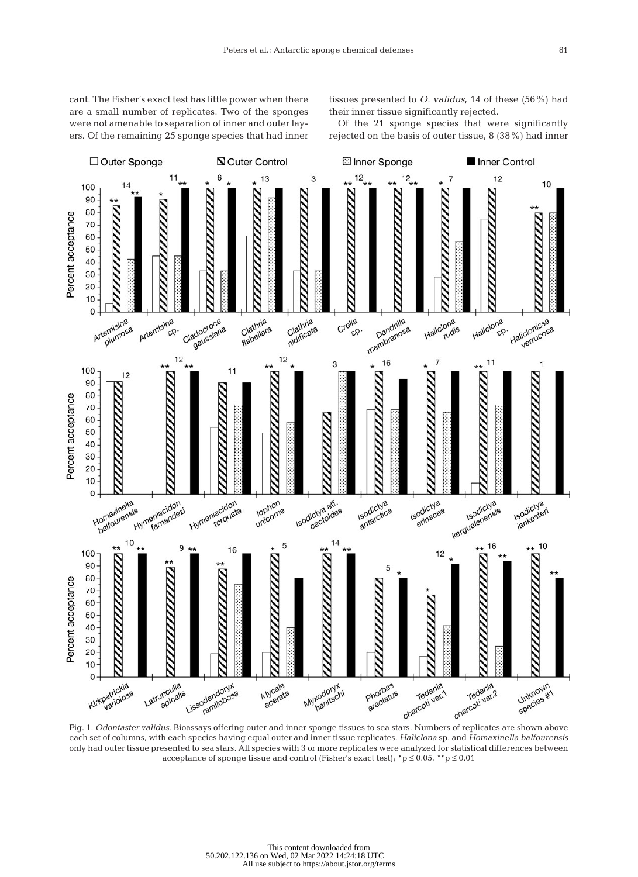cant. The Fisher's exact test has little power when there are a small number of replicates. Two of the sponges were not amenable to separation of inner and outer layers. Of the remaining 25 sponge species that had inner tissues presented to *O. validus*, 14 of these (56%) had their inner tissue significantly rejected.

Of the 21 sponge species that were significantly rejected on the basis of outer tissue, 8 (38%) had inner



each set of columns, with each species having equal outer and inner tissue replicates. *Haliclona* sp. and *Homaxinella balfourensis* only had outer tissue presented to sea stars. All species with 3 or more replicates were analyzed for statistical differences between acceptance of sponge tissue and control (Fisher's exact test);  $^*p \le 0.05$ ,  $^{**}p \le 0.01$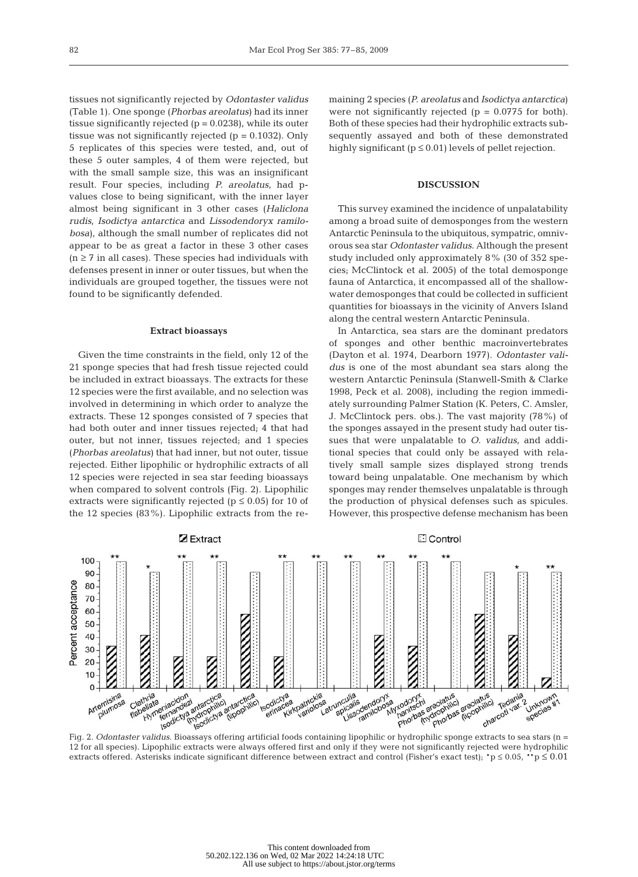tissues not significantly rejected by *Odontaster validus* (Table 1). One sponge (*Phorbas areolatus*) had its inner tissue significantly rejected  $(p = 0.0238)$ , while its outer tissue was not significantly rejected  $(p = 0.1032)$ . Only 5 replicates of this species were tested, and, out of these 5 outer samples, 4 of them were rejected, but with the small sample size, this was an insignificant result. Four species, including *P. areolatus*, had pvalues close to being significant, with the inner layer almost being significant in 3 other cases (*Haliclona rudis*, *Isodictya antarctica* and *Lissodendoryx ramilobosa*), although the small number of replicates did not appear to be as great a factor in these 3 other cases  $(n \ge 7$  in all cases). These species had individuals with defenses present in inner or outer tissues, but when the individuals are grouped together, the tissues were not found to be significantly defended.

#### **Extract bioassays**

Given the time constraints in the field, only 12 of the 21 sponge species that had fresh tissue rejected could be included in extract bioassays. The extracts for these 12 species were the first available, and no selection was involved in determining in which order to analyze the extracts. These 12 sponges consisted of 7 species that had both outer and inner tissues rejected; 4 that had outer, but not inner, tissues rejected; and 1 species (*Phorbas areolatus*) that had inner, but not outer, tissue rejected. Either lipophilic or hydrophilic extracts of all 12 species were rejected in sea star feeding bioassays when compared to solvent controls (Fig. 2). Lipophilic extracts were significantly rejected ( $p \le 0.05$ ) for 10 of the 12 species (83%). Lipophilic extracts from the remaining 2 species (*P. areolatus* and *Isodictya antarctica*) were not significantly rejected  $(p = 0.0775$  for both). Both of these species had their hydrophilic extracts subsequently assayed and both of these demonstrated highly significant ( $p \le 0.01$ ) levels of pellet rejection.

### **DISCUSSION**

This survey examined the incidence of unpalatability among a broad suite of demosponges from the western Antarctic Peninsula to the ubiquitous, sympatric, omnivorous sea star *Odontaster validus*. Although the present study included only approximately 8% (30 of 352 species; McClintock et al. 2005) of the total demosponge fauna of Antarctica, it encompassed all of the shallowwater demosponges that could be collected in sufficient quantities for bioassays in the vicinity of Anvers Island along the central western Antarctic Peninsula.

In Antarctica, sea stars are the dominant predators of sponges and other benthic macroinvertebrates (Dayton et al. 1974, Dearborn 1977). *Odontaster validus* is one of the most abundant sea stars along the western Antarctic Peninsula (Stanwell-Smith & Clarke 1998, Peck et al. 2008), including the region immediately surrounding Palmer Station (K. Peters, C. Amsler, J. McClintock pers. obs.). The vast majority (78%) of the sponges assayed in the present study had outer tissues that were unpalatable to *O. validus*, and additional species that could only be assayed with relatively small sample sizes displayed strong trends toward being unpalatable. One mechanism by which sponges may render themselves unpalatable is through the production of physical defenses such as spicules. However, this prospective defense mechanism has been



12 for all species). Lipophilic extracts were always offered first and only if they were not significantly rejected were hydrophilic extracts offered. Asterisks indicate significant difference between extract and control (Fisher's exact test); \*p ≤ 0.05, \*\*p ≤ 0.01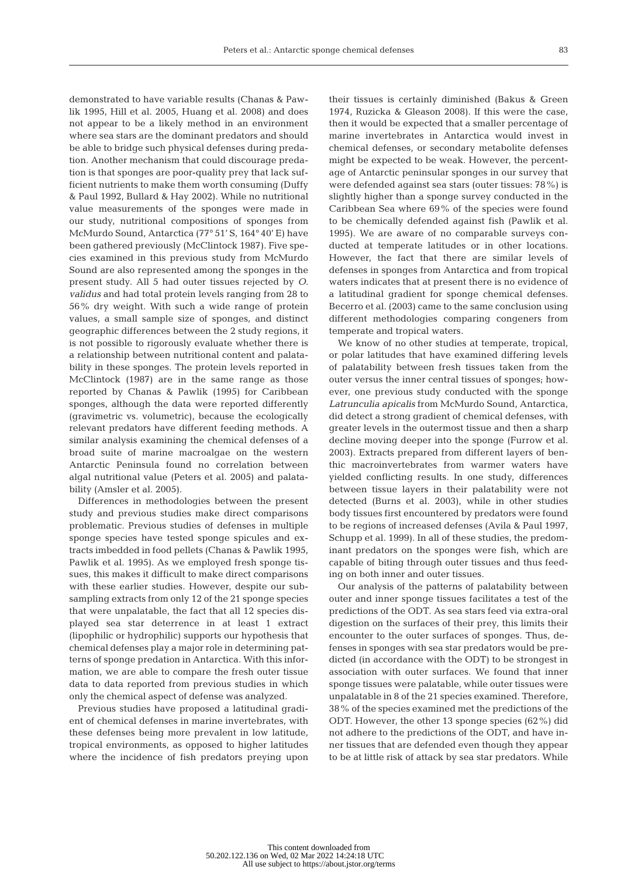83

demonstrated to have variable results (Chanas & Pawlik 1995, Hill et al. 2005, Huang et al. 2008) and does not appear to be a likely method in an environment where sea stars are the dominant predators and should be able to bridge such physical defenses during predation. Another mechanism that could discourage predation is that sponges are poor-quality prey that lack sufficient nutrients to make them worth consuming (Duffy & Paul 1992, Bullard & Hay 2002). While no nutritional value measurements of the sponges were made in our study, nutritional compositions of sponges from McMurdo Sound, Antarctica (77° 51' S, 164° 40' E) have been gathered previously (McClintock 1987). Five species examined in this previous study from McMurdo Sound are also represented among the sponges in the present study. All 5 had outer tissues rejected by *O. validus* and had total protein levels ranging from 28 to 56% dry weight. With such a wide range of protein values, a small sample size of sponges, and distinct geographic differences between the 2 study regions, it is not possible to rigorously evaluate whether there is a relationship between nutritional content and palatability in these sponges. The protein levels reported in McClintock (1987) are in the same range as those reported by Chanas & Pawlik (1995) for Caribbean sponges, although the data were reported differently (gravimetric vs. volumetric), because the ecologically relevant predators have different feeding methods. A similar analysis examining the chemical defenses of a broad suite of marine macroalgae on the western Antarctic Peninsula found no correlation between algal nutritional value (Peters et al. 2005) and palatability (Amsler et al. 2005).

Differences in methodologies between the present study and previous studies make direct comparisons problematic. Previous studies of defenses in multiple sponge species have tested sponge spicules and extracts imbedded in food pellets (Chanas & Pawlik 1995, Pawlik et al. 1995). As we employed fresh sponge tissues, this makes it difficult to make direct comparisons with these earlier studies. However, despite our subsampling extracts from only 12 of the 21 sponge species that were unpalatable, the fact that all 12 species displayed sea star deterrence in at least 1 extract (lipophilic or hydrophilic) supports our hypothesis that chemical defenses play a major role in determining patterns of sponge predation in Antarctica. With this information, we are able to compare the fresh outer tissue data to data reported from previous studies in which only the chemical aspect of defense was analyzed.

Previous studies have proposed a latitudinal gradient of chemical defenses in marine invertebrates, with these defenses being more prevalent in low latitude, tropical environments, as opposed to higher latitudes where the incidence of fish predators preying upon their tissues is certainly diminished (Bakus & Green 1974, Ruzicka & Gleason 2008). If this were the case, then it would be expected that a smaller percentage of marine invertebrates in Antarctica would invest in chemical defenses, or secondary metabolite defenses might be expected to be weak. However, the percentage of Antarctic peninsular sponges in our survey that were defended against sea stars (outer tissues: 78%) is slightly higher than a sponge survey conducted in the Caribbean Sea where 69% of the species were found to be chemically defended against fish (Pawlik et al. 1995). We are aware of no comparable surveys conducted at temperate latitudes or in other locations. However, the fact that there are similar levels of defenses in sponges from Antarctica and from tropical waters indicates that at present there is no evidence of a latitudinal gradient for sponge chemical defenses. Becerro et al. (2003) came to the same conclusion using different methodologies comparing congeners from temperate and tropical waters.

We know of no other studies at temperate, tropical, or polar latitudes that have examined differing levels of palatability between fresh tissues taken from the outer versus the inner central tissues of sponges; however, one previous study conducted with the sponge *Latrunculia apicalis* from McMurdo Sound, Antarctica, did detect a strong gradient of chemical defenses, with greater levels in the outermost tissue and then a sharp decline moving deeper into the sponge (Furrow et al. 2003). Extracts prepared from different layers of benthic macroinvertebrates from warmer waters have yielded conflicting results. In one study, differences between tissue layers in their palatability were not detected (Burns et al. 2003), while in other studies body tissues first encountered by predators were found to be regions of increased defenses (Avila & Paul 1997, Schupp et al. 1999). In all of these studies, the predominant predators on the sponges were fish, which are capable of biting through outer tissues and thus feeding on both inner and outer tissues.

Our analysis of the patterns of palatability between outer and inner sponge tissues facilitates a test of the predictions of the ODT. As sea stars feed via extra-oral digestion on the surfaces of their prey, this limits their encounter to the outer surfaces of sponges. Thus, defenses in sponges with sea star predators would be predicted (in accordance with the ODT) to be strongest in association with outer surfaces. We found that inner sponge tissues were palatable, while outer tissues were unpalatable in 8 of the 21 species examined. Therefore, 38% of the species examined met the predictions of the ODT. However, the other 13 sponge species (62%) did not adhere to the predictions of the ODT, and have inner tissues that are defended even though they appear to be at little risk of attack by sea star predators. While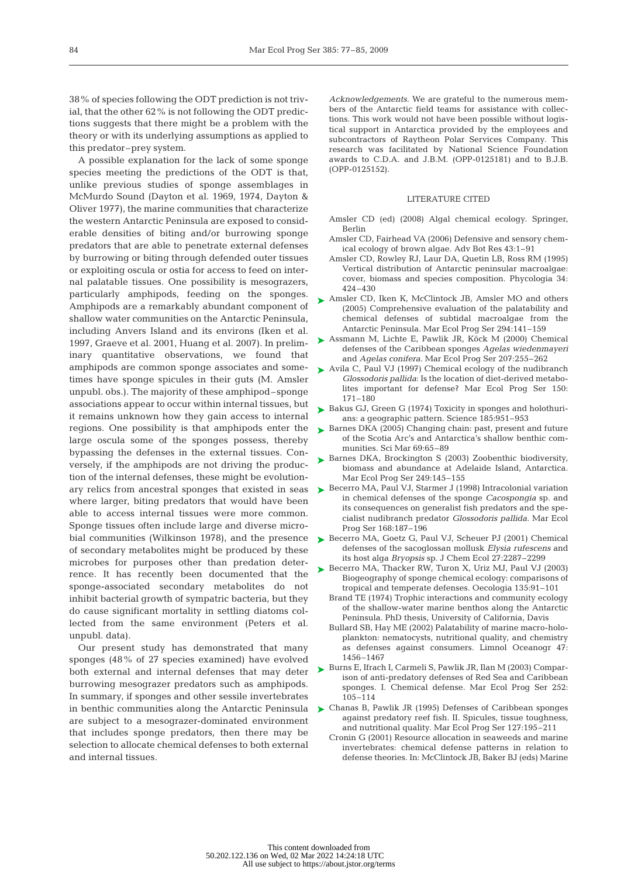38% of species following the ODT prediction is not trivial, that the other 62% is not following the ODT predictions suggests that there might be a problem with the theory or with its underlying assumptions as applied to this predator–prey system.

A possible explanation for the lack of some sponge species meeting the predictions of the ODT is that, unlike previous studies of sponge assemblages in McMurdo Sound (Dayton et al. 1969, 1974, Dayton & Oliver 1977), the marine communities that characterize the western Antarctic Peninsula are exposed to considerable densities of biting and/or burrowing sponge predators that are able to penetrate external defenses by burrowing or biting through defended outer tissues or exploiting oscula or ostia for access to feed on internal palatable tissues. One possibility is mesograzers, particularly amphipods, feeding on the sponges. Amphipods are a remarkably abundant component of shallow water communities on the Antarctic Peninsula, including Anvers Island and its environs (Iken et al. 1997, Graeve et al. 2001, Huang et al. 2007). In preliminary quantitative observations, we found that amphipods are common sponge associates and sometimes have sponge spicules in their guts (M. Amsler unpubl. obs.). The majority of these amphipod–sponge associations appear to occur within internal tissues, but it remains unknown how they gain access to internal regions. One possibility is that amphipods enter the large oscula some of the sponges possess, thereby bypassing the defenses in the external tissues. Conversely, if the amphipods are not driving the production of the internal defenses, these might be evolutionary relics from ancestral sponges that existed in seas where larger, biting predators that would have been able to access internal tissues were more common. Sponge tissues often include large and diverse microbial communities (Wilkinson 1978), and the presence of secondary metabolites might be produced by these microbes for purposes other than predation deterrence. It has recently been documented that the sponge-associated secondary metabolites do not inhibit bacterial growth of sympatric bacteria, but they do cause significant mortality in settling diatoms collected from the same environment (Peters et al. unpubl. data).

Our present study has demonstrated that many sponges (48% of 27 species examined) have evolved both external and internal defenses that may deter burrowing mesograzer predators such as amphipods. In summary, if sponges and other sessile invertebrates are subject to a mesograzer-dominated environment that includes sponge predators, then there may be selection to allocate chemical defenses to both external and internal tissues.

*Acknowledgements.* We are grateful to the numerous members of the Antarctic field teams for assistance with collections. This work would not have been possible without logistical support in Antarctica provided by the employees and subcontractors of Raytheon Polar Services Company. This research was facilitated by National Science Foundation awards to C.D.A. and J.B.M. (OPP-0125181) and to B.J.B. (OPP-0125152).

### LITERATURE CITED

- Amsler CD (ed) (2008) Algal chemical ecology. Springer, Berlin
- Amsler CD, Fairhead VA (2006) Defensive and sensory chemical ecology of brown algae. Adv Bot Res 43:1–91
- Amsler CD, Rowley RJ, Laur DA, Quetin LB, Ross RM (1995) Vertical distribution of Antarctic peninsular macroalgae: cover, biomass and species composition. Phycologia 34: 424–430
- ► Amsler CD, Iken K, McClintock JB, Amsler MO and others (2005) Comprehensive evaluation of the palatability and chemical defenses of subtidal macroalgae from the Antarctic Peninsula. Mar Ecol Prog Ser 294:141–159
- ► Assmann M, Lichte E, Pawlik JR, Köck M (2000) Chemical defenses of the Caribbean sponges *Agelas wiedenmayeri* and *Agelas conifera.* Mar Ecol Prog Ser 207:255–262
- ► Avila C, Paul VJ (1997) Chemical ecology of the nudibranch *Glossodoris pallida*: Is the location of diet-derived metabolites important for defense? Mar Ecol Prog Ser 150: 171–180
- ► Bakus GJ, Green G (1974) Toxicity in sponges and holothurians: a geographic pattern. Science 185:951–953
- ► Barnes DKA (2005) Changing chain: past, present and future of the Scotia Arc's and Antarctica's shallow benthic communities. Sci Mar 69:65–89
- ► Barnes DKA, Brockington S (2003) Zoobenthic biodiversity, biomass and abundance at Adelaide Island, Antarctica. Mar Ecol Prog Ser 249:145–155
- ► Becerro MA, Paul VJ, Starmer J (1998) Intracolonial variation in chemical defenses of the sponge *Cacospongia* sp. and its consequences on generalist fish predators and the specialist nudibranch predator *Glossodoris pallida*. Mar Ecol Prog Ser 168:187–196
- ► Becerro MA, Goetz G, Paul VJ, Scheuer PJ (2001) Chemical defenses of the sacoglossan mollusk *Elysia rufescens* and its host alga *Bryopsis* sp. J Chem Ecol 27:2287–2299
- ► Becerro MA, Thacker RW, Turon X, Uriz MJ, Paul VJ (2003) Biogeography of sponge chemical ecology: comparisons of tropical and temperate defenses. Oecologia 135:91–101
	- Brand TE (1974) Trophic interactions and community ecology of the shallow-water marine benthos along the Antarctic Peninsula. PhD thesis, University of California, Davis
	- Bullard SB, Hay ME (2002) Palatability of marine macro-holoplankton: nematocysts, nutritional quality, and chemistry as defenses against consumers. Limnol Oceanogr 47: 1456–1467
- ► Burns E, Ifrach I, Carmeli S, Pawlik JR, Ilan M (2003) Comparison of anti-predatory defenses of Red Sea and Caribbean sponges. I. Chemical defense. Mar Ecol Prog Ser 252: 105–114
- in benthic communities along the Antarctic Peninsula  $\quadblacktriangleright$  Chanas B, Pawlik JR (1995) Defenses of Caribbean sponges against predatory reef fish. II. Spicules, tissue toughness, and nutritional quality. Mar Ecol Prog Ser 127:195–211
	- Cronin G (2001) Resource allocation in seaweeds and marine invertebrates: chemical defense patterns in relation to defense theories. In: McClintock JB, Baker BJ (eds) Marine